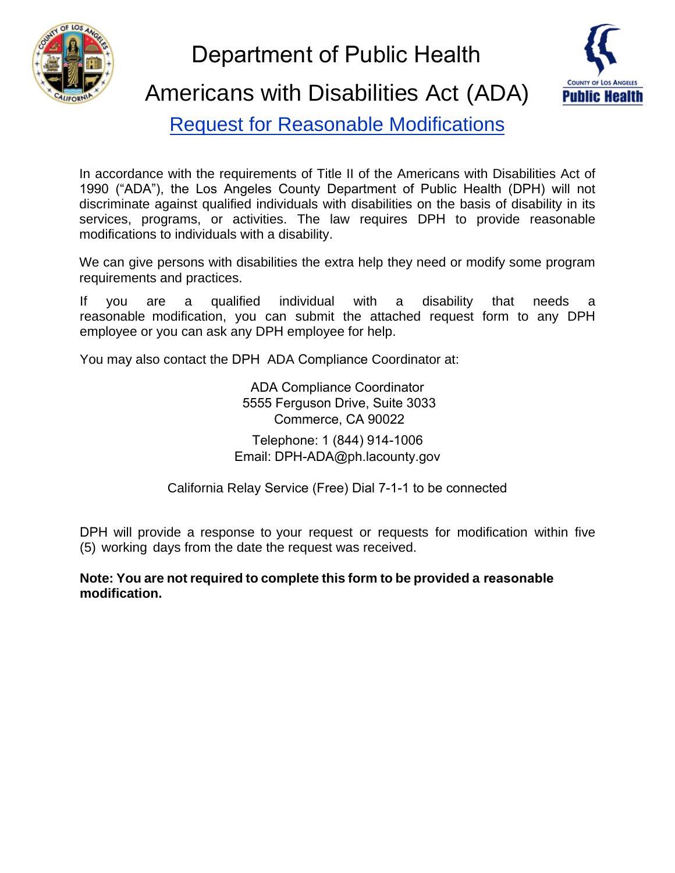

Department of Public Health



Americans with Disabilities Act (ADA)

Request for Reasonable Modifications

In accordance with the requirements of Title II of the Americans with Disabilities Act of 1990 ("ADA"), the Los Angeles County Department of Public Health (DPH) will not discriminate against qualified individuals with disabilities on the basis of disability in its services, programs, or activities. The law requires DPH to provide reasonable modifications to individuals with a disability.

We can give persons with disabilities the extra help they need or modify some program requirements and practices.

If you are a qualified individual with a disability that needs a reasonable modification, you can submit the attached request form to any DPH employee or you can ask any DPH employee for help.

You may also contact the DPH ADA Compliance Coordinator at:

ADA Compliance Coordinator 5555 Ferguson Drive, Suite 3033 Commerce, CA 90022 Telephone: 1 (844) 914-1006 Email: DPH-ADA@ph.lacounty.gov

California Relay Service (Free) Dial 7-1-1 to be connected

DPH will provide a response to your request or requests for modification within five (5) working days from the date the request was received.

**Note: You are not required to complete this form to be provided a reasonable modification.**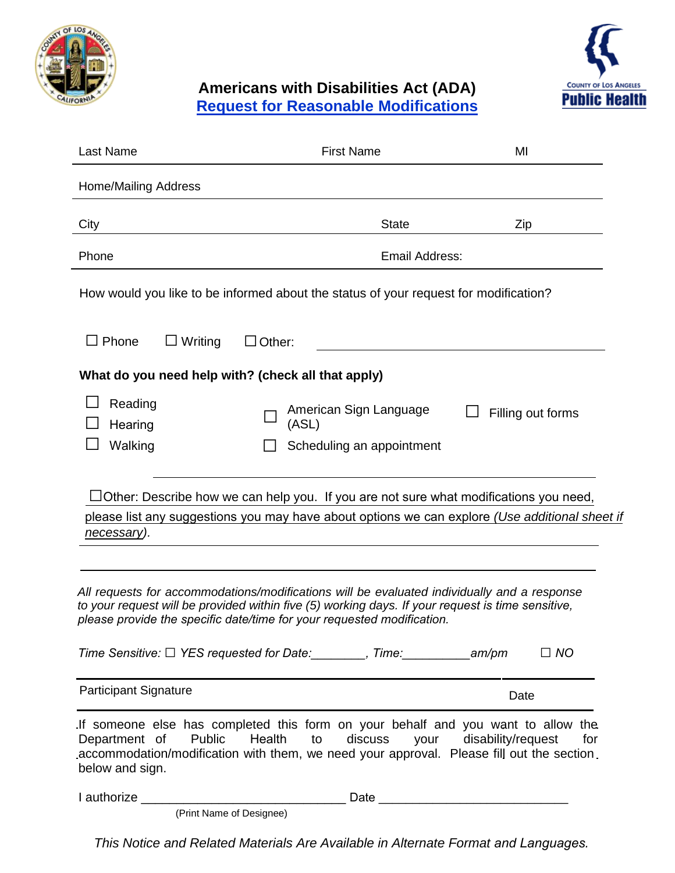



## **Americans with Disabilities Act (ADA) Request for Reasonable Modifications**

| Last Name                                                                                                                                                                                                                                                                                  | <b>First Name</b>                                                         | MI                |  |
|--------------------------------------------------------------------------------------------------------------------------------------------------------------------------------------------------------------------------------------------------------------------------------------------|---------------------------------------------------------------------------|-------------------|--|
| <b>Home/Mailing Address</b>                                                                                                                                                                                                                                                                |                                                                           |                   |  |
| City                                                                                                                                                                                                                                                                                       | <b>State</b>                                                              | Zip               |  |
| Phone                                                                                                                                                                                                                                                                                      | Email Address:                                                            |                   |  |
| How would you like to be informed about the status of your request for modification?                                                                                                                                                                                                       |                                                                           |                   |  |
| $\Box$ Phone<br>$\Box$ Writing                                                                                                                                                                                                                                                             | $\Box$ Other:                                                             |                   |  |
| What do you need help with? (check all that apply)                                                                                                                                                                                                                                         |                                                                           |                   |  |
| Reading<br>Hearing<br>Walking                                                                                                                                                                                                                                                              | American Sign Language<br>(ASL)<br>Scheduling an appointment              | Filling out forms |  |
| Other: Describe how we can help you. If you are not sure what modifications you need,<br>please list any suggestions you may have about options we can explore <i>(Use additional sheet if</i><br>necessary).                                                                              |                                                                           |                   |  |
| All requests for accommodations/modifications will be evaluated individually and a response<br>to your request will be provided within five (5) working days. If your request is time sensitive,<br>please provide the specific date/time for your requested modification.                 |                                                                           |                   |  |
|                                                                                                                                                                                                                                                                                            | Time Sensitive: □ YES requested for Date: _______, Time: __________ am/pm | $\Box$ NO         |  |
| <b>Participant Signature</b>                                                                                                                                                                                                                                                               |                                                                           | Date              |  |
| If someone else has completed this form on your behalf and you want to allow the<br>Public<br>Health<br>discuss<br>disability/request<br>Department of<br>to<br>vour<br>for<br>accommodation/modification with them, we need your approval. Please fill out the section<br>below and sign. |                                                                           |                   |  |
|                                                                                                                                                                                                                                                                                            | Date                                                                      |                   |  |

*This Notice and Related Materials Are Available in Alternate Format and Languages.* 

(Print Name of Designee)